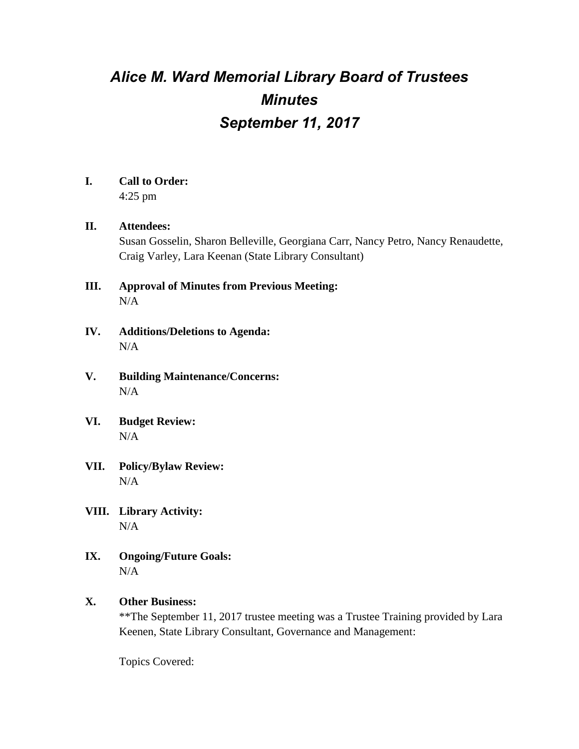# *Alice M. Ward Memorial Library Board of Trustees Minutes September 11, 2017*

## **I. Call to Order:**

4:25 pm

### **II. Attendees:**

Susan Gosselin, Sharon Belleville, Georgiana Carr, Nancy Petro, Nancy Renaudette, Craig Varley, Lara Keenan (State Library Consultant)

- **III. Approval of Minutes from Previous Meeting:** N/A
- **IV. Additions/Deletions to Agenda:** N/A
- **V. Building Maintenance/Concerns:** N/A
- **VI. Budget Review:**  $N/A$
- **VII. Policy/Bylaw Review:** N/A
- **VIII. Library Activity:** N/A
- **IX. Ongoing/Future Goals:** N/A

### **X. Other Business:**

\*\*The September 11, 2017 trustee meeting was a Trustee Training provided by Lara Keenen, State Library Consultant, Governance and Management:

Topics Covered: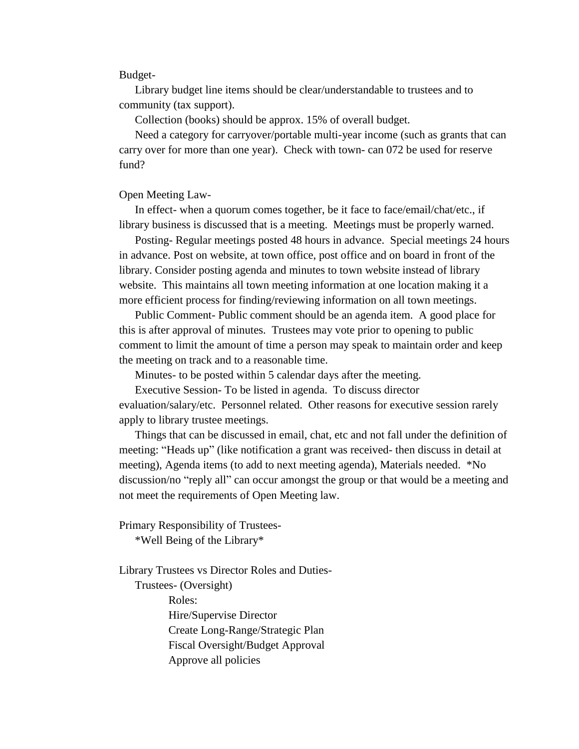#### Budget-

Library budget line items should be clear/understandable to trustees and to community (tax support).

Collection (books) should be approx. 15% of overall budget.

Need a category for carryover/portable multi-year income (such as grants that can carry over for more than one year). Check with town- can 072 be used for reserve fund?

#### Open Meeting Law-

In effect- when a quorum comes together, be it face to face/email/chat/etc., if library business is discussed that is a meeting. Meetings must be properly warned.

Posting- Regular meetings posted 48 hours in advance. Special meetings 24 hours in advance. Post on website, at town office, post office and on board in front of the library. Consider posting agenda and minutes to town website instead of library website. This maintains all town meeting information at one location making it a more efficient process for finding/reviewing information on all town meetings.

Public Comment- Public comment should be an agenda item. A good place for this is after approval of minutes. Trustees may vote prior to opening to public comment to limit the amount of time a person may speak to maintain order and keep the meeting on track and to a reasonable time.

Minutes- to be posted within 5 calendar days after the meeting.

Executive Session- To be listed in agenda. To discuss director evaluation/salary/etc. Personnel related. Other reasons for executive session rarely apply to library trustee meetings.

Things that can be discussed in email, chat, etc and not fall under the definition of meeting: "Heads up" (like notification a grant was received- then discuss in detail at meeting), Agenda items (to add to next meeting agenda), Materials needed. \*No discussion/no "reply all" can occur amongst the group or that would be a meeting and not meet the requirements of Open Meeting law.

Primary Responsibility of Trustees-

\*Well Being of the Library\*

Library Trustees vs Director Roles and Duties-Trustees- (Oversight) Roles: Hire/Supervise Director Create Long-Range/Strategic Plan Fiscal Oversight/Budget Approval Approve all policies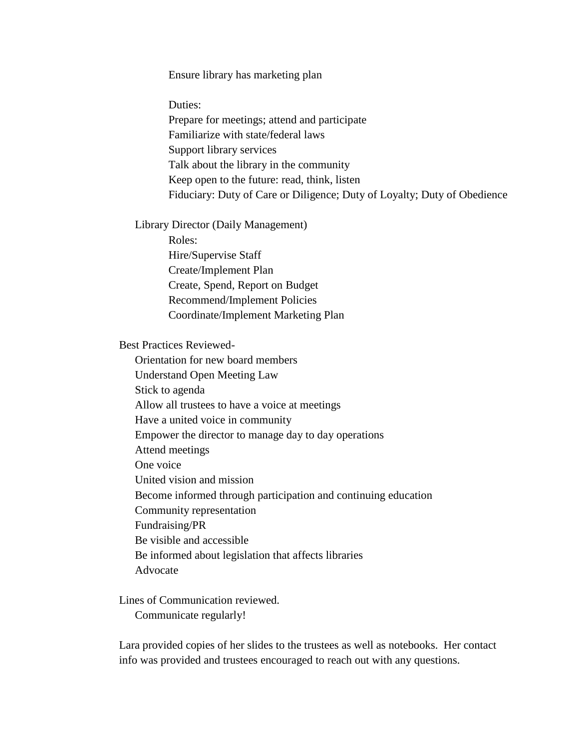Ensure library has marketing plan

Duties:

Prepare for meetings; attend and participate Familiarize with state/federal laws Support library services Talk about the library in the community Keep open to the future: read, think, listen Fiduciary: Duty of Care or Diligence; Duty of Loyalty; Duty of Obedience

Library Director (Daily Management)

Roles: Hire/Supervise Staff Create/Implement Plan Create, Spend, Report on Budget Recommend/Implement Policies Coordinate/Implement Marketing Plan

Best Practices Reviewed-

Orientation for new board members Understand Open Meeting Law Stick to agenda Allow all trustees to have a voice at meetings Have a united voice in community Empower the director to manage day to day operations Attend meetings One voice United vision and mission Become informed through participation and continuing education Community representation Fundraising/PR Be visible and accessible Be informed about legislation that affects libraries Advocate

Lines of Communication reviewed. Communicate regularly!

Lara provided copies of her slides to the trustees as well as notebooks. Her contact info was provided and trustees encouraged to reach out with any questions.